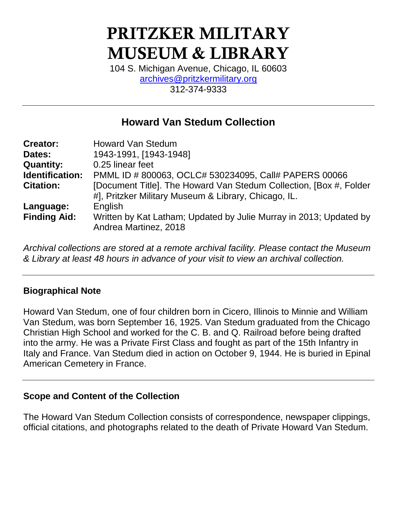# PRITZKER MILITARY MUSEUM & LIBRARY

104 S. Michigan Avenue, Chicago, IL 60603 [archives@pritzkermilitary.org](mailto:archives@pritzkermilitary.org) 312-374-9333

## **Howard Van Stedum Collection**

| <b>Creator:</b>     | <b>Howard Van Stedum</b>                                                                                                   |
|---------------------|----------------------------------------------------------------------------------------------------------------------------|
| Dates:              | 1943-1991, [1943-1948]                                                                                                     |
| <b>Quantity:</b>    | 0.25 linear feet                                                                                                           |
| Identification:     | PMML ID # 800063, OCLC# 530234095, Call# PAPERS 00066                                                                      |
| <b>Citation:</b>    | [Document Title]. The Howard Van Stedum Collection, [Box #, Folder<br>#], Pritzker Military Museum & Library, Chicago, IL. |
| Language:           | English                                                                                                                    |
| <b>Finding Aid:</b> | Written by Kat Latham; Updated by Julie Murray in 2013; Updated by                                                         |
|                     | Andrea Martinez, 2018                                                                                                      |

*Archival collections are stored at a remote archival facility. Please contact the Museum & Library at least 48 hours in advance of your visit to view an archival collection.*

### **Biographical Note**

Howard Van Stedum, one of four children born in Cicero, Illinois to Minnie and William Van Stedum, was born September 16, 1925. Van Stedum graduated from the Chicago Christian High School and worked for the C. B. and Q. Railroad before being drafted into the army. He was a Private First Class and fought as part of the 15th Infantry in Italy and France. Van Stedum died in action on October 9, 1944. He is buried in Epinal American Cemetery in France.

#### **Scope and Content of the Collection**

The Howard Van Stedum Collection consists of correspondence, newspaper clippings, official citations, and photographs related to the death of Private Howard Van Stedum.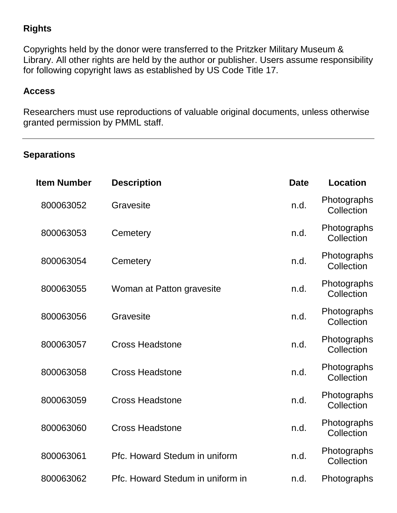## **Rights**

Copyrights held by the donor were transferred to the Pritzker Military Museum & Library. All other rights are held by the author or publisher. Users assume responsibility for following copyright laws as established by US Code Title 17.

#### **Access**

Researchers must use reproductions of valuable original documents, unless otherwise granted permission by PMML staff.

### **Separations**

| <b>Item Number</b> | <b>Description</b>               | <b>Date</b> | <b>Location</b>           |
|--------------------|----------------------------------|-------------|---------------------------|
| 800063052          | Gravesite                        | n.d.        | Photographs<br>Collection |
| 800063053          | Cemetery                         | n.d.        | Photographs<br>Collection |
| 800063054          | Cemetery                         | n.d.        | Photographs<br>Collection |
| 800063055          | Woman at Patton gravesite        | n.d.        | Photographs<br>Collection |
| 800063056          | Gravesite                        | n.d.        | Photographs<br>Collection |
| 800063057          | <b>Cross Headstone</b>           | n.d.        | Photographs<br>Collection |
| 800063058          | <b>Cross Headstone</b>           | n.d.        | Photographs<br>Collection |
| 800063059          | <b>Cross Headstone</b>           | n.d.        | Photographs<br>Collection |
| 800063060          | <b>Cross Headstone</b>           | n.d.        | Photographs<br>Collection |
| 800063061          | Pfc. Howard Stedum in uniform    | n.d.        | Photographs<br>Collection |
| 800063062          | Pfc. Howard Stedum in uniform in | n.d.        | Photographs               |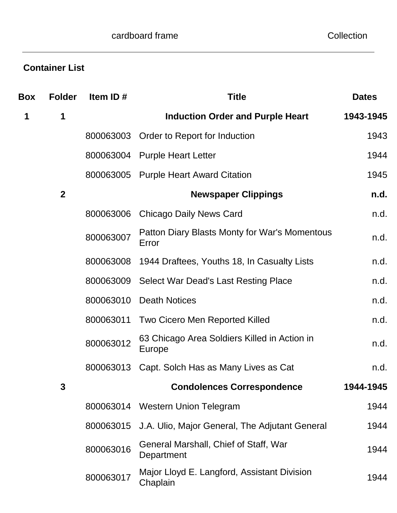# **Container List**

| <b>Box</b> | <b>Folder</b>  | Item ID#  | <b>Title</b>                                            | <b>Dates</b> |
|------------|----------------|-----------|---------------------------------------------------------|--------------|
| 1          | 1              |           | <b>Induction Order and Purple Heart</b>                 | 1943-1945    |
|            |                | 800063003 | Order to Report for Induction                           | 1943         |
|            |                | 800063004 | <b>Purple Heart Letter</b>                              | 1944         |
|            |                | 800063005 | <b>Purple Heart Award Citation</b>                      | 1945         |
|            | $\overline{2}$ |           | <b>Newspaper Clippings</b>                              | n.d.         |
|            |                | 800063006 | <b>Chicago Daily News Card</b>                          | n.d.         |
|            |                | 800063007 | Patton Diary Blasts Monty for War's Momentous<br>Error  | n.d.         |
|            |                | 800063008 | 1944 Draftees, Youths 18, In Casualty Lists             | n.d.         |
|            |                | 800063009 | <b>Select War Dead's Last Resting Place</b>             | n.d.         |
|            |                | 800063010 | <b>Death Notices</b>                                    | n.d.         |
|            |                | 800063011 | Two Cicero Men Reported Killed                          | n.d.         |
|            |                | 800063012 | 63 Chicago Area Soldiers Killed in Action in<br>Europe  | n.d.         |
|            |                | 800063013 | Capt. Solch Has as Many Lives as Cat                    | n.d.         |
|            | 3              |           | <b>Condolences Correspondence</b>                       | 1944-1945    |
|            |                | 800063014 | <b>Western Union Telegram</b>                           | 1944         |
|            |                | 800063015 | J.A. Ulio, Major General, The Adjutant General          | 1944         |
|            |                | 800063016 | General Marshall, Chief of Staff, War<br>Department     | 1944         |
|            |                | 800063017 | Major Lloyd E. Langford, Assistant Division<br>Chaplain | 1944         |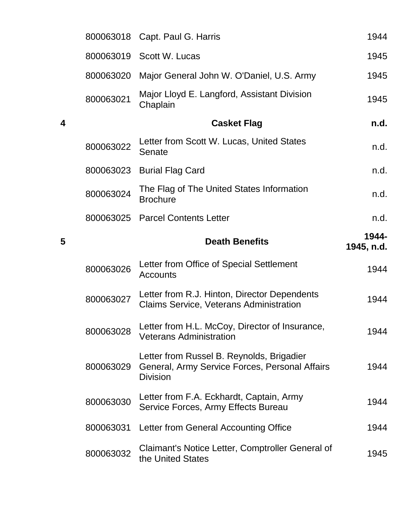|   | 800063018 | Capt. Paul G. Harris                                                                                           | 1944                |
|---|-----------|----------------------------------------------------------------------------------------------------------------|---------------------|
|   | 800063019 | Scott W. Lucas                                                                                                 | 1945                |
|   | 800063020 | Major General John W. O'Daniel, U.S. Army                                                                      | 1945                |
|   | 800063021 | Major Lloyd E. Langford, Assistant Division<br>Chaplain                                                        | 1945                |
| 4 |           | <b>Casket Flag</b>                                                                                             | n.d.                |
|   | 800063022 | Letter from Scott W. Lucas, United States<br>Senate                                                            | n.d.                |
|   | 800063023 | <b>Burial Flag Card</b>                                                                                        | n.d.                |
|   | 800063024 | The Flag of The United States Information<br><b>Brochure</b>                                                   | n.d.                |
|   | 800063025 | <b>Parcel Contents Letter</b>                                                                                  | n.d.                |
| 5 |           | <b>Death Benefits</b>                                                                                          | 1944-<br>1945, n.d. |
|   |           |                                                                                                                |                     |
|   | 800063026 | Letter from Office of Special Settlement<br><b>Accounts</b>                                                    | 1944                |
|   | 800063027 | Letter from R.J. Hinton, Director Dependents<br><b>Claims Service, Veterans Administration</b>                 | 1944                |
|   | 800063028 | Letter from H.L. McCoy, Director of Insurance,<br><b>Veterans Administration</b>                               | 1944                |
|   | 800063029 | Letter from Russel B. Reynolds, Brigadier<br>General, Army Service Forces, Personal Affairs<br><b>Division</b> | 1944                |
|   | 800063030 | Letter from F.A. Eckhardt, Captain, Army<br>Service Forces, Army Effects Bureau                                | 1944                |
|   | 800063031 | Letter from General Accounting Office                                                                          | 1944                |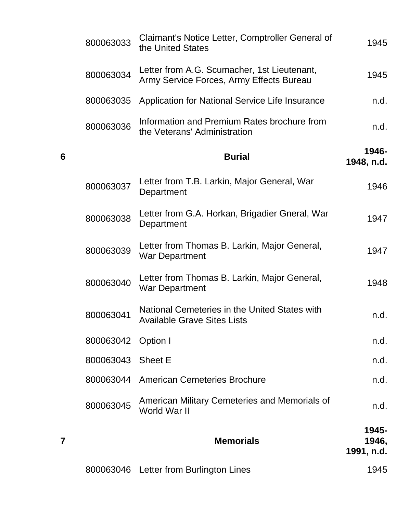|   | 800063033         | Claimant's Notice Letter, Comptroller General of<br>the United States                   | 1945                         |
|---|-------------------|-----------------------------------------------------------------------------------------|------------------------------|
|   | 800063034         | Letter from A.G. Scumacher, 1st Lieutenant,<br>Army Service Forces, Army Effects Bureau | 1945                         |
|   | 800063035         | Application for National Service Life Insurance                                         | n.d.                         |
|   | 800063036         | Information and Premium Rates brochure from<br>the Veterans' Administration             | n.d.                         |
| 6 |                   | <b>Burial</b>                                                                           | 1946-<br>1948, n.d.          |
|   | 800063037         | Letter from T.B. Larkin, Major General, War<br>Department                               | 1946                         |
|   | 800063038         | Letter from G.A. Horkan, Brigadier Gneral, War<br>Department                            | 1947                         |
|   | 800063039         | Letter from Thomas B. Larkin, Major General,<br><b>War Department</b>                   | 1947                         |
|   | 800063040         | Letter from Thomas B. Larkin, Major General,<br><b>War Department</b>                   | 1948                         |
|   | 800063041         | National Cemeteries in the United States with<br><b>Available Grave Sites Lists</b>     | n.d.                         |
|   | 800063042         | Option I                                                                                | n.d.                         |
|   | 800063043 Sheet E |                                                                                         | n.d.                         |
|   | 800063044         | <b>American Cemeteries Brochure</b>                                                     | n.d.                         |
|   | 800063045         | American Military Cemeteries and Memorials of<br>World War II                           | n.d.                         |
|   |                   | <b>Memorials</b>                                                                        | 1945-<br>1946,<br>1991, n.d. |
|   |                   | 800063046 Letter from Burlington Lines                                                  | 1945                         |